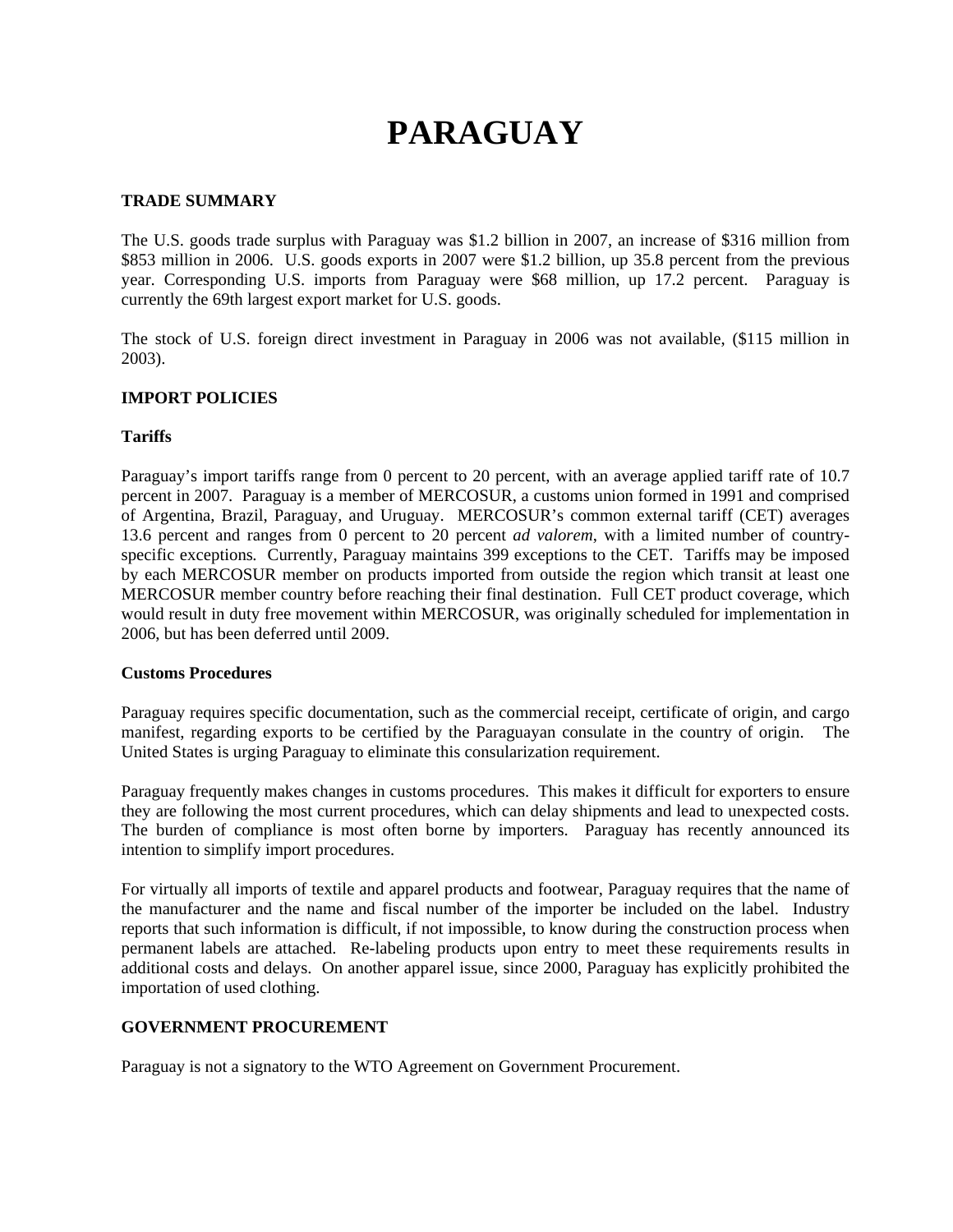# **PARAGUAY**

## **TRADE SUMMARY**

The U.S. goods trade surplus with Paraguay was \$1.2 billion in 2007, an increase of \$316 million from \$853 million in 2006. U.S. goods exports in 2007 were \$1.2 billion, up 35.8 percent from the previous year. Corresponding U.S. imports from Paraguay were \$68 million, up 17.2 percent. Paraguay is currently the 69th largest export market for U.S. goods.

The stock of U.S. foreign direct investment in Paraguay in 2006 was not available, (\$115 million in 2003).

## **IMPORT POLICIES**

## **Tariffs**

Paraguay's import tariffs range from 0 percent to 20 percent, with an average applied tariff rate of 10.7 percent in 2007. Paraguay is a member of MERCOSUR, a customs union formed in 1991 and comprised of Argentina, Brazil, Paraguay, and Uruguay. MERCOSUR's common external tariff (CET) averages 13.6 percent and ranges from 0 percent to 20 percent *ad valorem*, with a limited number of countryspecific exceptions*.* Currently, Paraguay maintains 399 exceptions to the CET. Tariffs may be imposed by each MERCOSUR member on products imported from outside the region which transit at least one MERCOSUR member country before reaching their final destination. Full CET product coverage, which would result in duty free movement within MERCOSUR, was originally scheduled for implementation in 2006, but has been deferred until 2009.

#### **Customs Procedures**

Paraguay requires specific documentation, such as the commercial receipt, certificate of origin, and cargo manifest, regarding exports to be certified by the Paraguayan consulate in the country of origin. The United States is urging Paraguay to eliminate this consularization requirement.

Paraguay frequently makes changes in customs procedures. This makes it difficult for exporters to ensure they are following the most current procedures, which can delay shipments and lead to unexpected costs. The burden of compliance is most often borne by importers. Paraguay has recently announced its intention to simplify import procedures.

For virtually all imports of textile and apparel products and footwear, Paraguay requires that the name of the manufacturer and the name and fiscal number of the importer be included on the label. Industry reports that such information is difficult, if not impossible, to know during the construction process when permanent labels are attached. Re-labeling products upon entry to meet these requirements results in additional costs and delays. On another apparel issue, since 2000, Paraguay has explicitly prohibited the importation of used clothing.

## **GOVERNMENT PROCUREMENT**

Paraguay is not a signatory to the WTO Agreement on Government Procurement.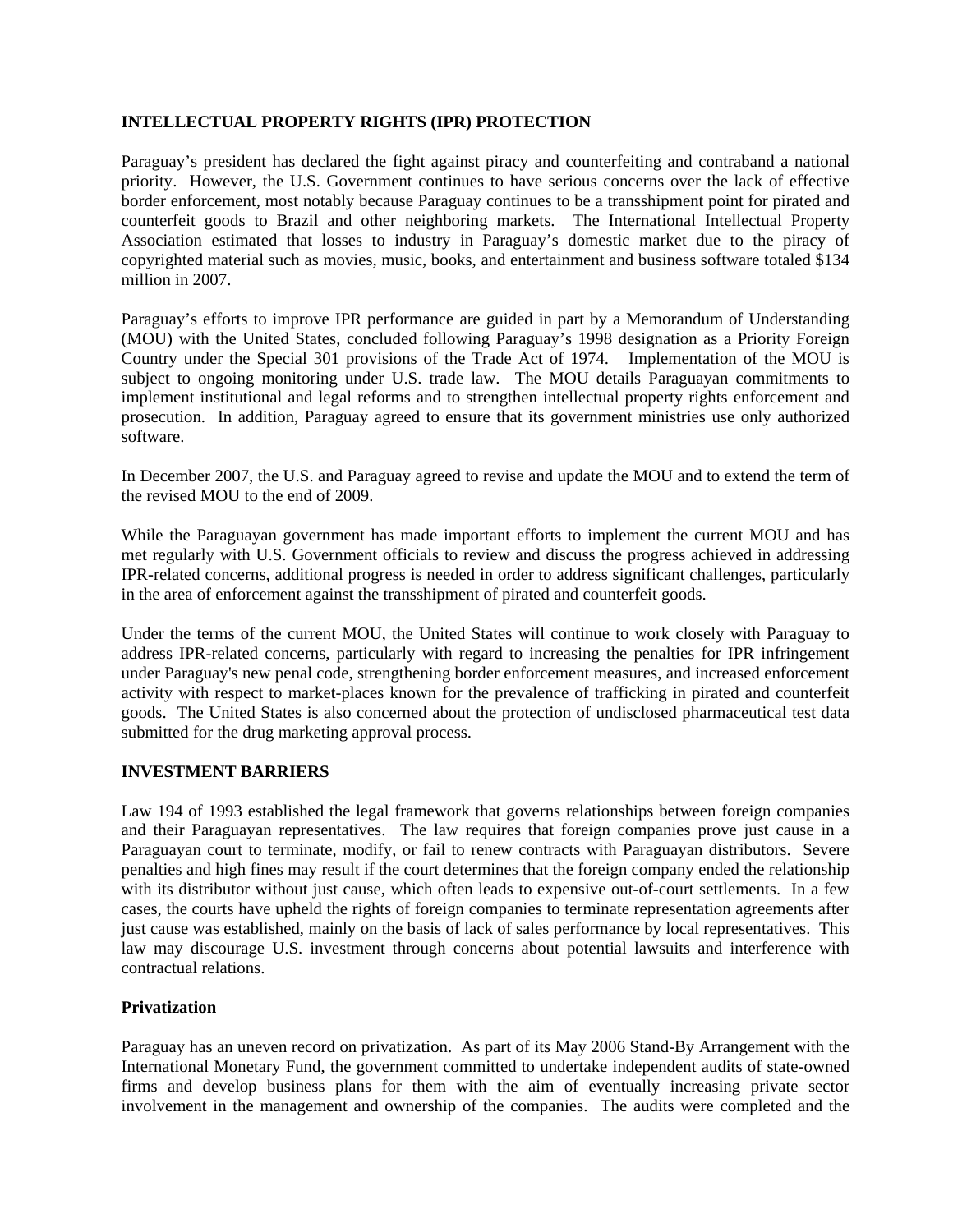## **INTELLECTUAL PROPERTY RIGHTS (IPR) PROTECTION**

Paraguay's president has declared the fight against piracy and counterfeiting and contraband a national priority. However, the U.S. Government continues to have serious concerns over the lack of effective border enforcement, most notably because Paraguay continues to be a transshipment point for pirated and counterfeit goods to Brazil and other neighboring markets. The International Intellectual Property Association estimated that losses to industry in Paraguay's domestic market due to the piracy of copyrighted material such as movies, music, books, and entertainment and business software totaled \$134 million in 2007.

Paraguay's efforts to improve IPR performance are guided in part by a Memorandum of Understanding (MOU) with the United States, concluded following Paraguay's 1998 designation as a Priority Foreign Country under the Special 301 provisions of the Trade Act of 1974. Implementation of the MOU is subject to ongoing monitoring under U.S. trade law. The MOU details Paraguayan commitments to implement institutional and legal reforms and to strengthen intellectual property rights enforcement and prosecution. In addition, Paraguay agreed to ensure that its government ministries use only authorized software.

In December 2007, the U.S. and Paraguay agreed to revise and update the MOU and to extend the term of the revised MOU to the end of 2009.

While the Paraguayan government has made important efforts to implement the current MOU and has met regularly with U.S. Government officials to review and discuss the progress achieved in addressing IPR-related concerns, additional progress is needed in order to address significant challenges, particularly in the area of enforcement against the transshipment of pirated and counterfeit goods.

Under the terms of the current MOU, the United States will continue to work closely with Paraguay to address IPR-related concerns, particularly with regard to increasing the penalties for IPR infringement under Paraguay's new penal code, strengthening border enforcement measures, and increased enforcement activity with respect to market-places known for the prevalence of trafficking in pirated and counterfeit goods. The United States is also concerned about the protection of undisclosed pharmaceutical test data submitted for the drug marketing approval process.

## **INVESTMENT BARRIERS**

Law 194 of 1993 established the legal framework that governs relationships between foreign companies and their Paraguayan representatives. The law requires that foreign companies prove just cause in a Paraguayan court to terminate, modify, or fail to renew contracts with Paraguayan distributors. Severe penalties and high fines may result if the court determines that the foreign company ended the relationship with its distributor without just cause, which often leads to expensive out-of-court settlements. In a few cases, the courts have upheld the rights of foreign companies to terminate representation agreements after just cause was established, mainly on the basis of lack of sales performance by local representatives. This law may discourage U.S. investment through concerns about potential lawsuits and interference with contractual relations.

## **Privatization**

Paraguay has an uneven record on privatization. As part of its May 2006 Stand-By Arrangement with the International Monetary Fund, the government committed to undertake independent audits of state-owned firms and develop business plans for them with the aim of eventually increasing private sector involvement in the management and ownership of the companies. The audits were completed and the